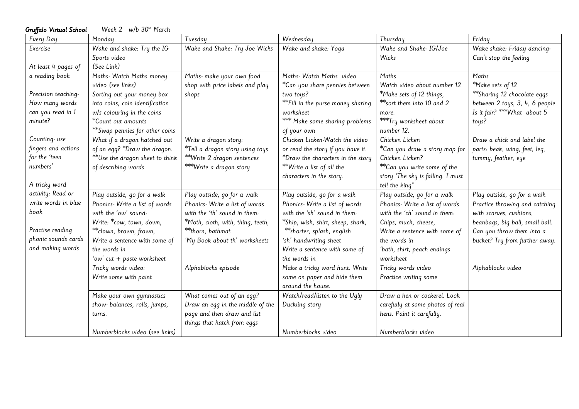| Gruffalo Virtual School | Week 2 $w/b$ 30 <sup>th</sup> March |                                   |                                   |                                   |                                 |
|-------------------------|-------------------------------------|-----------------------------------|-----------------------------------|-----------------------------------|---------------------------------|
| Every Day               | Monday                              | Tuesday                           | Wednesday                         | Thursday                          | Friday                          |
| Exercise                | Wake and shake: Try the IG          | Wake and Shake: Try Joe Wicks     | Wake and shake: Yoga              | Wake and Shake- IG/Joe            | Wake shake: Friday dancing-     |
|                         | Sports video                        |                                   |                                   | Wicks                             | Can't stop the feeling          |
| At least 4 pages of     | (See Link)                          |                                   |                                   |                                   |                                 |
| a reading book          | Maths- Watch Maths money            | Maths- make your own food         | Maths- Watch Maths video          | Maths                             | Maths                           |
|                         | video (see links)                   | shop with price labels and play   | *Can you share pennies between    | Watch video about number 12       | *Make sets of 12                |
| Precision teaching-     | Sorting out your money box          | shops                             | two toys?                         | *Make sets of 12 things,          | **Sharing 12 chocolate eggs     |
| How many words          | into coins, coin identification     |                                   | **Fill in the purse money sharing | **sort them into 10 and 2         | between 2 toys, 3, 4, 6 people. |
| can you read in 1       | $w/s$ colouring in the coins        |                                   | worksheet                         | more.                             | Is it fair? *** What about 5    |
| minute?                 | *Count out amounts                  |                                   | *** Make some sharing problems    | ***Try worksheet about            | toys?                           |
|                         | **Swap pennies for other coins      |                                   | of your own                       | number 12.                        |                                 |
| Counting-use            | What if a dragon hatched out        | Write a dragon story:             | Chicken Licken-Watch the video    | Chicken Licken                    | Draw a chick and label the      |
| fingers and actions     | of an egg? *Draw the dragon.        | *Tell a dragon story using toys   | or read the story if you have it. | *Can you draw a story map for     | parts: beak, wing, feet, leg,   |
| for the 'teen           | **Use the dragon sheet to think     | **Write 2 dragon sentences        | *Draw the characters in the story | Chicken Licken?                   | tummy, feather, eye             |
| numbers'                | of describing words.                | ***Write a dragon story           | **Write a list of all the         | **Can you write some of the       |                                 |
|                         |                                     |                                   | characters in the story.          | story 'The sky is falling. I must |                                 |
| A tricky word           |                                     |                                   |                                   | tell the king"                    |                                 |
| activity: Read or       | Play outside, go for a walk         | Play outside, go for a walk       | Play outside, go for a walk       | Play outside, go for a walk       | Play outside, go for a walk     |
| write words in blue     | Phonics- Write a list of words      | Phonics- Write a list of words    | Phonics- Write a list of words    | Phonics- Write a list of words    | Practice throwing and catching  |
| book                    | with the 'ow' sound:                | with the 'th' sound in them:      | with the 'sh' sound in them:      | with the 'ch' sound in them:      | with scarves, cushions,         |
|                         | Write: *cow, town, down,            | *Moth, cloth, with, thing, teeth, | *Ship, wish, shirt, sheep, shark, | Chips, much, cheese,              | beanbags, big ball, small ball. |
| Practise reading        | ** clown, brown, frown,             | **thorn, bathmat                  | ** shorter, splash, english       | Write a sentence with some of     | Can you throw them into a       |
| phonic sounds cards     | Write a sentence with some of       | 'My Book about th' worksheets     | 'sh' handwriting sheet            | the words in                      | bucket? Try from further away.  |
| and making words        | the words in                        |                                   | Write a sentence with some of     | 'bath, shirt, peach endings       |                                 |
|                         | 'ow' cut + paste worksheet          |                                   | the words in                      | worksheet                         |                                 |
|                         | Tricky words video:                 | Alphablocks episode               | Make a tricky word hunt. Write    | Tricky words video                | Alphablocks video               |
|                         | Write some with paint               |                                   | some on paper and hide them       | Practice writing some             |                                 |
|                         |                                     |                                   | around the house.                 |                                   |                                 |
|                         | Make your own gymnastics            | What comes out of an egg?         | Watch/read/listen to the Ugly     | Draw a hen or cockerel. Look      |                                 |
|                         | show- balances, rolls, jumps,       | Draw an egg in the middle of the  | Duckling story                    | carefully at some photos of real  |                                 |
|                         | turns.                              | page and then draw and list       |                                   | hens. Paint it carefully.         |                                 |
|                         |                                     | things that hatch from eggs       |                                   |                                   |                                 |
|                         | Numberblocks video (see links)      |                                   | Numberblocks video                | Numberblocks video                |                                 |